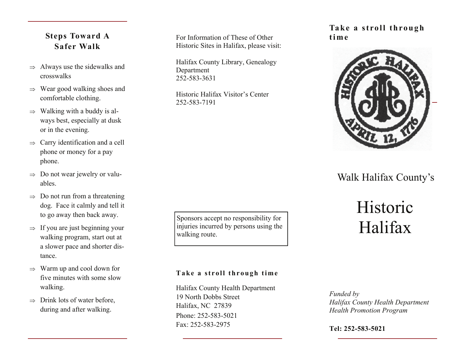## **Steps Toward A Safer Walk**

- $\Rightarrow$  Always use the sidewalks and crosswalks
- $\Rightarrow$  Wear good walking shoes and comfortable clothing.
- $\Rightarrow$  Walking with a buddy is always best, especially at dusk or in the evening.
- $\Rightarrow$  Carry identification and a cell phone or money for a pay phone.
- $\Rightarrow$  Do not wear jewelry or valuables.
- $\Rightarrow$  Do not run from a threatening dog. Face it calmly and tell it to go away then back away.
- $\Rightarrow$  If you are just beginning your walking program, start out at a slower pace and shorter distance.
- $\Rightarrow$  Warm up and cool down for five minutes with some slow walking.
- $\Rightarrow$  Drink lots of water before, during and after walking.

For Information of These of Other Historic Sites in Halifax, please visit:

Halifax County Library, Genealogy Department 252-583-3631

Historic Halifax Visitor's Center 252-583-7191

### Sponsors accept no responsibility for injuries incurred by persons using the walking route.

### **Take a stroll through time**



# Walk Halifax County's

# Historic Halifax

### **Take a stroll through time**

Phone: 252-583-5021 Fax: 252-583-2975 Halifax County Health Department 19 North Dobbs Street Halifax, NC 27839

*Funded by Halifax County Health Department Health Promotion Program* 

**Tel: 252-583-5021**